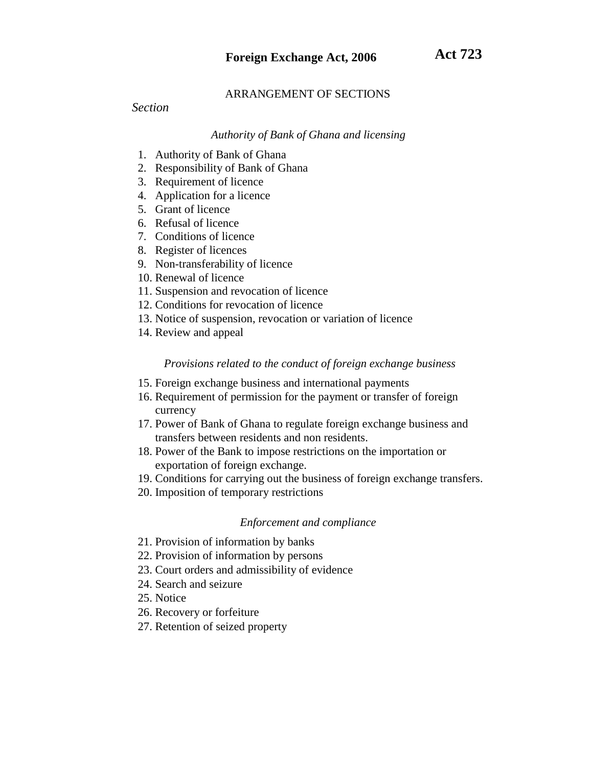# ARRANGEMENT OF SECTIONS

# *Section*

# *Authority of Bank of Ghana and licensing*

- 1. Authority of Bank of Ghana
- 2. Responsibility of Bank of Ghana
- 3. Requirement of licence
- 4. Application for a licence
- 5. Grant of licence
- 6. Refusal of licence
- 7. Conditions of licence
- 8. Register of licences
- 9. Non-transferability of licence
- 10. Renewal of licence
- 11. Suspension and revocation of licence
- 12. Conditions for revocation of licence
- 13. Notice of suspension, revocation or variation of licence
- 14. Review and appeal

# *Provisions related to the conduct of foreign exchange business*

- 15. Foreign exchange business and international payments
- 16. Requirement of permission for the payment or transfer of foreign currency
- 17. Power of Bank of Ghana to regulate foreign exchange business and transfers between residents and non residents.
- 18. Power of the Bank to impose restrictions on the importation or exportation of foreign exchange.
- 19. Conditions for carrying out the business of foreign exchange transfers.
- 20. Imposition of temporary restrictions

# *Enforcement and compliance*

- 21. Provision of information by banks
- 22. Provision of information by persons
- 23. Court orders and admissibility of evidence
- 24. Search and seizure
- 25. Notice
- 26. Recovery or forfeiture
- 27. Retention of seized property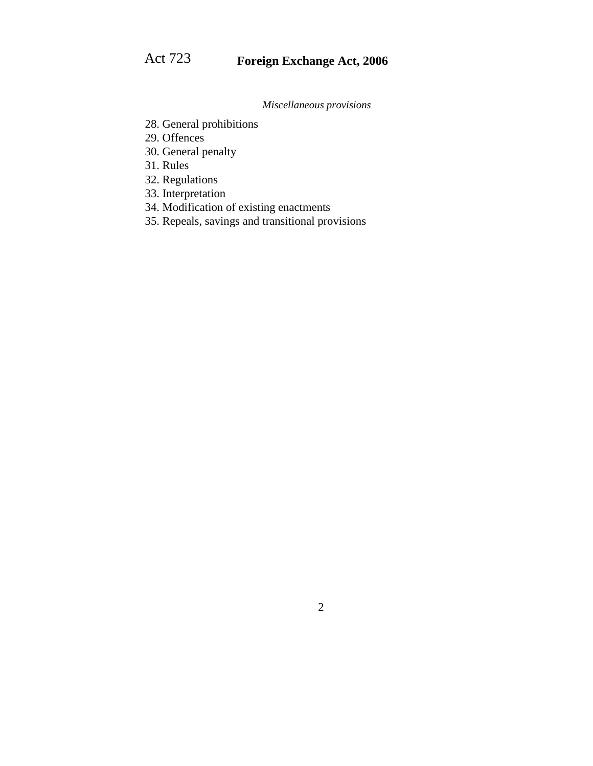*Miscellaneous provisions*

- 28. General prohibitions
- 29. Offences
- 30. General penalty
- 31. Rules
- 32. Regulations
- 33. Interpretation
- 34. Modification of existing enactments
- 35. Repeals, savings and transitional provisions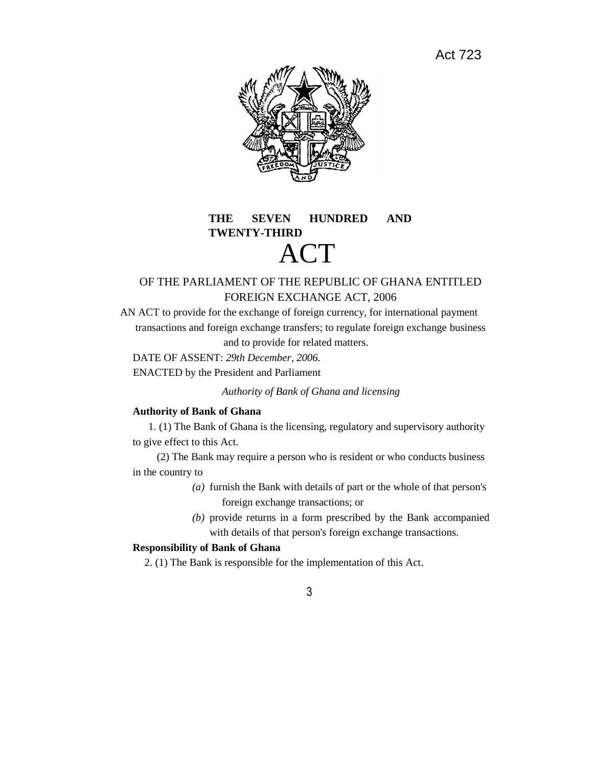Act 723



# **THE SEVEN HUNDRED AND TWENTY-THIRD** ACT

# OF THE PARLIAMENT OF THE REPUBLIC OF GHANA ENTITLED FOREIGN EXCHANGE ACT, 2006

AN ACT to provide for the exchange of foreign currency, for international payment transactions and foreign exchange transfers; to regulate foreign exchange business and to provide for related matters.

DATE OF ASSENT: *29th December, 2006.*

ENACTED by the President and Parliament

*Authority of Bank of Ghana and licensing*

# **Authority of Bank of Ghana**

1. (1) The Bank of Ghana is the licensing, regulatory and supervisory authority to give effect to this Act.

(2) The Bank may require a person who is resident or who conducts business in the country to

- *(a)* furnish the Bank with details of part or the whole of that person's foreign exchange transactions; or
- *(b)* provide returns in a form prescribed by the Bank accompanied with details of that person's foreign exchange transactions.

# **Responsibility of Bank of Ghana**

2. (1) The Bank is responsible for the implementation of this Act.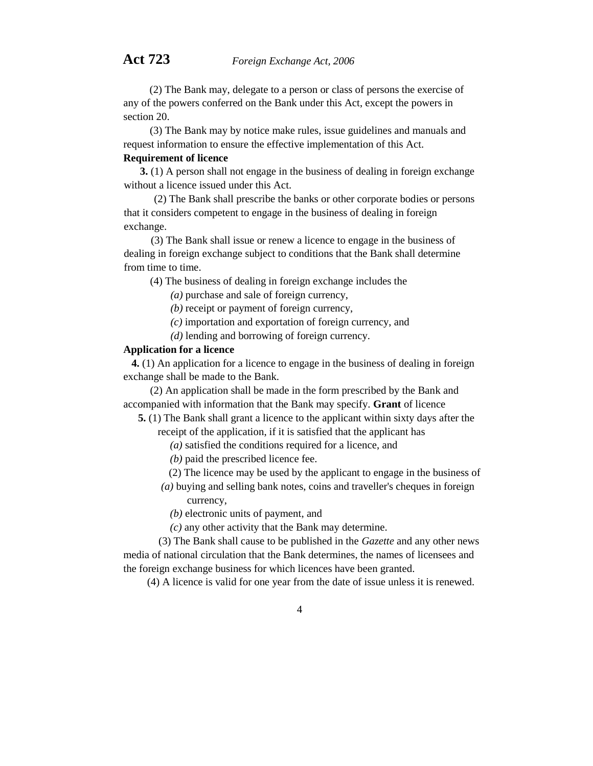(2) The Bank may, delegate to a person or class of persons the exercise of any of the powers conferred on the Bank under this Act, except the powers in section 20.

(3) The Bank may by notice make rules, issue guidelines and manuals and request information to ensure the effective implementation of this Act.

# **Requirement of licence**

**3.** (1) A person shall not engage in the business of dealing in foreign exchange without a licence issued under this Act.

(2) The Bank shall prescribe the banks or other corporate bodies or persons that it considers competent to engage in the business of dealing in foreign exchange.

(3) The Bank shall issue or renew a licence to engage in the business of dealing in foreign exchange subject to conditions that the Bank shall determine from time to time.

(4) The business of dealing in foreign exchange includes the

*(a)* purchase and sale of foreign currency,

*(b)* receipt or payment of foreign currency,

*(c)* importation and exportation of foreign currency, and

*(d)* lending and borrowing of foreign currency.

# **Application for a licence**

**4.** (1) An application for a licence to engage in the business of dealing in foreign exchange shall be made to the Bank.

(2) An application shall be made in the form prescribed by the Bank and accompanied with information that the Bank may specify. **Grant** of licence

**5.** (1) The Bank shall grant a licence to the applicant within sixty days after the receipt of the application, if it is satisfied that the applicant has

- *(a)* satisfied the conditions required for a licence, and
- *(b)* paid the prescribed licence fee.
- (2) The licence may be used by the applicant to engage in the business of
- *(a)* buying and selling bank notes, coins and traveller's cheques in foreign currency,
	- *(b)* electronic units of payment, and
	- *(c)* any other activity that the Bank may determine.

(3) The Bank shall cause to be published in the *Gazette* and any other news media of national circulation that the Bank determines, the names of licensees and the foreign exchange business for which licences have been granted.

(4) A licence is valid for one year from the date of issue unless it is renewed.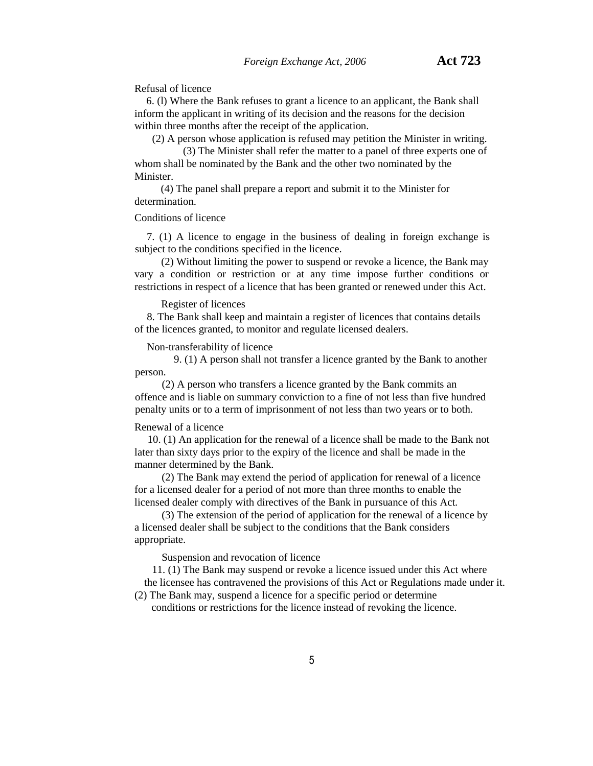Refusal of licence

6. (l) Where the Bank refuses to grant a licence to an applicant, the Bank shall inform the applicant in writing of its decision and the reasons for the decision within three months after the receipt of the application.

(2) A person whose application is refused may petition the Minister in writing.

(3) The Minister shall refer the matter to a panel of three experts one of whom shall be nominated by the Bank and the other two nominated by the **Minister** 

(4) The panel shall prepare a report and submit it to the Minister for determination.

## Conditions of licence

7. (1) A licence to engage in the business of dealing in foreign exchange is subject to the conditions specified in the licence.

(2) Without limiting the power to suspend or revoke a licence, the Bank may vary a condition or restriction or at any time impose further conditions or restrictions in respect of a licence that has been granted or renewed under this Act.

## Register of licences

8. The Bank shall keep and maintain a register of licences that contains details of the licences granted, to monitor and regulate licensed dealers.

Non-transferability of licence

9. (1) A person shall not transfer a licence granted by the Bank to another person.

(2) A person who transfers a licence granted by the Bank commits an offence and is liable on summary conviction to a fine of not less than five hundred penalty units or to a term of imprisonment of not less than two years or to both.

# Renewal of a licence

10. (1) An application for the renewal of a licence shall be made to the Bank not later than sixty days prior to the expiry of the licence and shall be made in the manner determined by the Bank.

(2) The Bank may extend the period of application for renewal of a licence for a licensed dealer for a period of not more than three months to enable the licensed dealer comply with directives of the Bank in pursuance of this Act.

(3) The extension of the period of application for the renewal of a licence by a licensed dealer shall be subject to the conditions that the Bank considers appropriate.

Suspension and revocation of licence

11. (1) The Bank may suspend or revoke a licence issued under this Act where the licensee has contravened the provisions of this Act or Regulations made under it.

(2) The Bank may, suspend a licence for a specific period or determine conditions or restrictions for the licence instead of revoking the licence.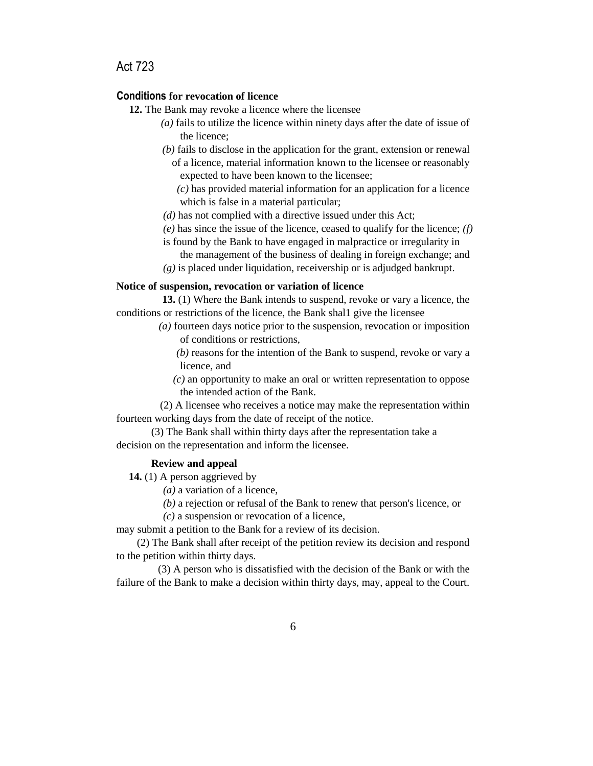```
Act 723
```
### **Conditions for revocation of licence**

- **12.** The Bank may revoke a licence where the licensee
	- *(a)* fails to utilize the licence within ninety days after the date of issue of the licence;
	- *(b)* fails to disclose in the application for the grant, extension or renewal of a licence, material information known to the licensee or reasonably expected to have been known to the licensee;
		- *(c)* has provided material information for an application for a licence which is false in a material particular;
	- *(d)* has not complied with a directive issued under this Act;
	- *(e)* has since the issue of the licence, ceased to qualify for the licence; *(f)*
	- is found by the Bank to have engaged in malpractice or irregularity in the management of the business of dealing in foreign exchange; and
	- *(g)* is placed under liquidation, receivership or is adjudged bankrupt.

#### **Notice of suspension, revocation or variation of licence**

**13.** (1) Where the Bank intends to suspend, revoke or vary a licence, the conditions or restrictions of the licence, the Bank shal1 give the licensee

- *(a)* fourteen days notice prior to the suspension, revocation or imposition of conditions or restrictions,
	- *(b)* reasons for the intention of the Bank to suspend, revoke or vary a licence, and
	- *(c)* an opportunity to make an oral or written representation to oppose the intended action of the Bank.

(2) A licensee who receives a notice may make the representation within fourteen working days from the date of receipt of the notice.

(3) The Bank shall within thirty days after the representation take a decision on the representation and inform the licensee.

### **Review and appeal**

**14.** (1) A person aggrieved by

*(a)* a variation of a licence,

*(b)* a rejection or refusal of the Bank to renew that person's licence, or

*(c)* a suspension or revocation of a licence,

may submit a petition to the Bank for a review of its decision.

(2) The Bank shall after receipt of the petition review its decision and respond to the petition within thirty days.

(3) A person who is dissatisfied with the decision of the Bank or with the failure of the Bank to make a decision within thirty days, may, appeal to the Court.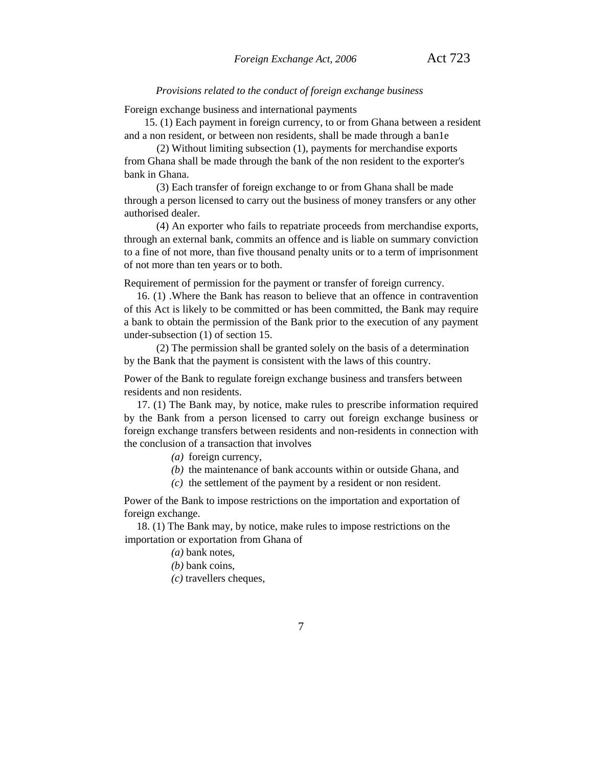#### *Provisions related to the conduct of foreign exchange business*

Foreign exchange business and international payments

15. (1) Each payment in foreign currency, to or from Ghana between a resident and a non resident, or between non residents, shall be made through a ban1e

(2) Without limiting subsection (1), payments for merchandise exports from Ghana shall be made through the bank of the non resident to the exporter's bank in Ghana.

(3) Each transfer of foreign exchange to or from Ghana shall be made through a person licensed to carry out the business of money transfers or any other authorised dealer.

(4) An exporter who fails to repatriate proceeds from merchandise exports, through an external bank, commits an offence and is liable on summary conviction to a fine of not more, than five thousand penalty units or to a term of imprisonment of not more than ten years or to both.

Requirement of permission for the payment or transfer of foreign currency.

16. (1) .Where the Bank has reason to believe that an offence in contravention of this Act is likely to be committed or has been committed, the Bank may require a bank to obtain the permission of the Bank prior to the execution of any payment under-subsection (1) of section 15.

(2) The permission shall be granted solely on the basis of a determination by the Bank that the payment is consistent with the laws of this country.

Power of the Bank to regulate foreign exchange business and transfers between residents and non residents.

17. (1) The Bank may, by notice, make rules to prescribe information required by the Bank from a person licensed to carry out foreign exchange business or foreign exchange transfers between residents and non-residents in connection with the conclusion of a transaction that involves

- *(a)* foreign currency,
- *(b)* the maintenance of bank accounts within or outside Ghana, and
- *(c)* the settlement of the payment by a resident or non resident.

Power of the Bank to impose restrictions on the importation and exportation of foreign exchange.

18. (1) The Bank may, by notice, make rules to impose restrictions on the importation or exportation from Ghana of

*(a)* bank notes,

*(b)* bank coins,

*(c)* travellers cheques,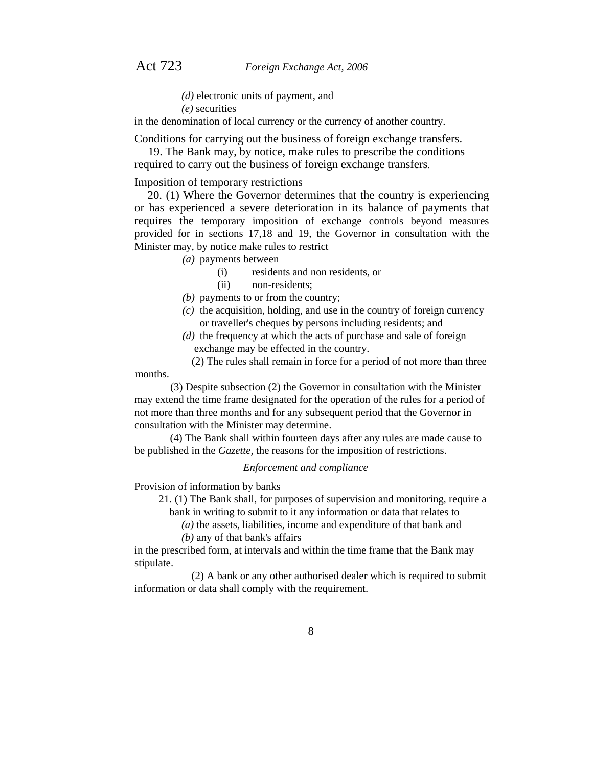- *(d)* electronic units of payment, and
- *(e)* securities

in the denomination of local currency or the currency of another country.

Conditions for carrying out the business of foreign exchange transfers.

19. The Bank may, by notice, make rules to prescribe the conditions required to carry out the business of foreign exchange transfers.

Imposition of temporary restrictions

20. (1) Where the Governor determines that the country is experiencing or has experienced a severe deterioration in its balance of payments that requires the temporary imposition of exchange controls beyond measures provided for in sections 17,18 and 19, the Governor in consultation with the Minister may, by notice make rules to restrict

*(a)* payments between

- (i) residents and non residents, or
- (ii) non-residents;
- *(b)* payments to or from the country;
- *(c)* the acquisition, holding, and use in the country of foreign currency or traveller's cheques by persons including residents; and
- *(d)* the frequency at which the acts of purchase and sale of foreign exchange may be effected in the country.
- (2) The rules shall remain in force for a period of not more than three months.

(3) Despite subsection (2) the Governor in consultation with the Minister may extend the time frame designated for the operation of the rules for a period of not more than three months and for any subsequent period that the Governor in consultation with the Minister may determine.

(4) The Bank shall within fourteen days after any rules are made cause to be published in the *Gazette,* the reasons for the imposition of restrictions.

#### *Enforcement and compliance*

Provision of information by banks

- 21. (1) The Bank shall, for purposes of supervision and monitoring, require a bank in writing to submit to it any information or data that relates to
	- *(a)* the assets, liabilities, income and expenditure of that bank and

*(b)* any of that bank's affairs

in the prescribed form, at intervals and within the time frame that the Bank may stipulate.

(2) A bank or any other authorised dealer which is required to submit information or data shall comply with the requirement.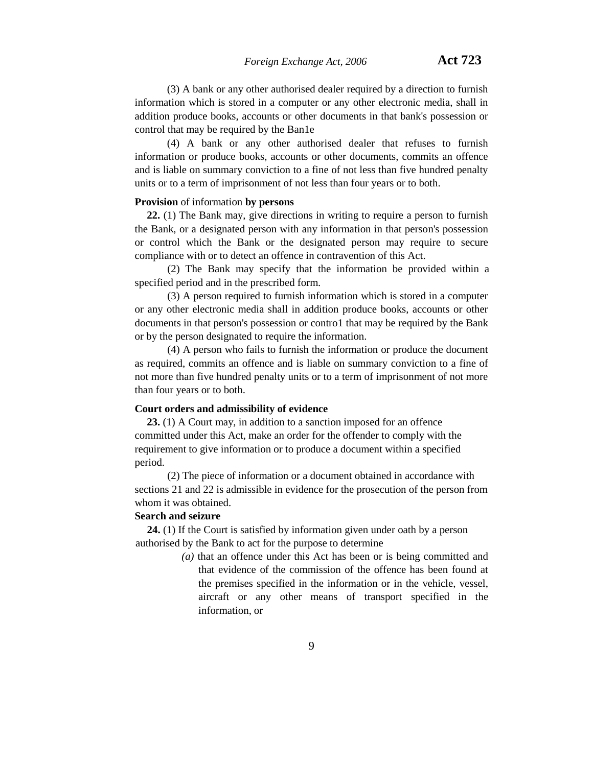(3) A bank or any other authorised dealer required by a direction to furnish information which is stored in a computer or any other electronic media, shall in addition produce books, accounts or other documents in that bank's possession or control that may be required by the Ban1e

(4) A bank or any other authorised dealer that refuses to furnish information or produce books, accounts or other documents, commits an offence and is liable on summary conviction to a fine of not less than five hundred penalty units or to a term of imprisonment of not less than four years or to both.

#### **Provision** of information **by persons**

**22.** (1) The Bank may, give directions in writing to require a person to furnish the Bank, or a designated person with any information in that person's possession or control which the Bank or the designated person may require to secure compliance with or to detect an offence in contravention of this Act.

(2) The Bank may specify that the information be provided within a specified period and in the prescribed form.

(3) A person required to furnish information which is stored in a computer or any other electronic media shall in addition produce books, accounts or other documents in that person's possession or contro1 that may be required by the Bank or by the person designated to require the information.

(4) A person who fails to furnish the information or produce the document as required, commits an offence and is liable on summary conviction to a fine of not more than five hundred penalty units or to a term of imprisonment of not more than four years or to both.

#### **Court orders and admissibility of evidence**

**23.** (1) A Court may, in addition to a sanction imposed for an offence committed under this Act, make an order for the offender to comply with the requirement to give information or to produce a document within a specified period.

(2) The piece of information or a document obtained in accordance with sections 21 and 22 is admissible in evidence for the prosecution of the person from whom it was obtained.

#### **Search and seizure**

**24.** (1) If the Court is satisfied by information given under oath by a person authorised by the Bank to act for the purpose to determine

> *(a)* that an offence under this Act has been or is being committed and that evidence of the commission of the offence has been found at the premises specified in the information or in the vehicle, vessel, aircraft or any other means of transport specified in the information, or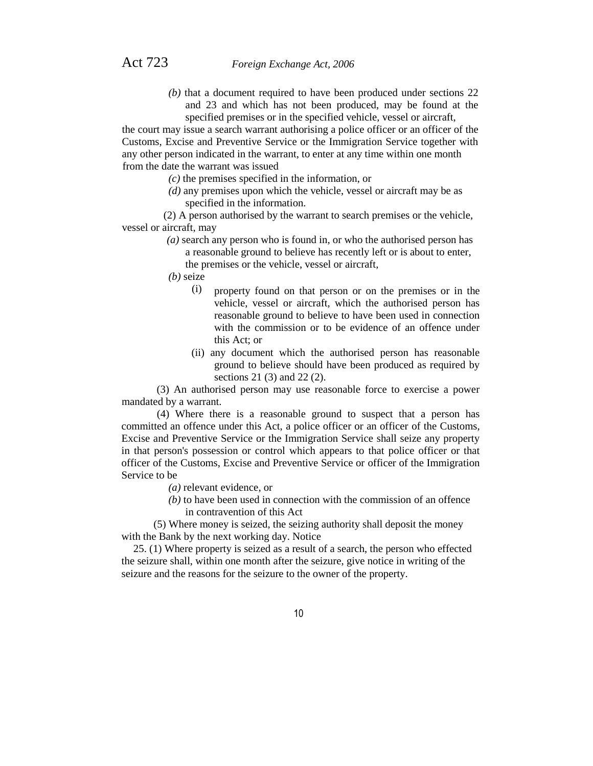*(b)* that a document required to have been produced under sections 22 and 23 and which has not been produced, may be found at the specified premises or in the specified vehicle, vessel or aircraft,

the court may issue a search warrant authorising a police officer or an officer of the Customs, Excise and Preventive Service or the Immigration Service together with any other person indicated in the warrant, to enter at any time within one month from the date the warrant was issued

- *(c)* the premises specified in the information, or
- *(d)* any premises upon which the vehicle, vessel or aircraft may be as specified in the information.

(2) A person authorised by the warrant to search premises or the vehicle, vessel or aircraft, may

- *(a)* search any person who is found in, or who the authorised person has a reasonable ground to believe has recently left or is about to enter, the premises or the vehicle, vessel or aircraft,
- *(b)* seize
	- (i) property found on that person or on the premises or in the vehicle, vessel or aircraft, which the authorised person has reasonable ground to believe to have been used in connection with the commission or to be evidence of an offence under this Act; or
	- (ii) any document which the authorised person has reasonable ground to believe should have been produced as required by sections 21 (3) and 22 (2).

(3) An authorised person may use reasonable force to exercise a power mandated by a warrant.

(4) Where there is a reasonable ground to suspect that a person has committed an offence under this Act, a police officer or an officer of the Customs, Excise and Preventive Service or the Immigration Service shall seize any property in that person's possession or control which appears to that police officer or that officer of the Customs, Excise and Preventive Service or officer of the Immigration Service to be

- *(a)* relevant evidence, or
- *(b)* to have been used in connection with the commission of an offence in contravention of this Act

(5) Where money is seized, the seizing authority shall deposit the money with the Bank by the next working day. Notice

25. (1) Where property is seized as a result of a search, the person who effected the seizure shall, within one month after the seizure, give notice in writing of the seizure and the reasons for the seizure to the owner of the property.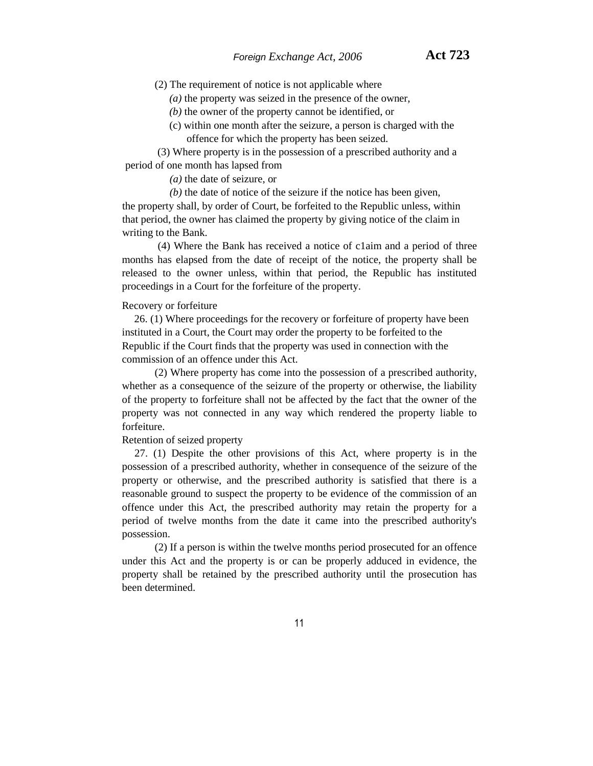(2) The requirement of notice is not applicable where

*(a)* the property was seized in the presence of the owner,

*(b)* the owner of the property cannot be identified, or

(c) within one month after the seizure, a person is charged with the offence for which the property has been seized.

(3) Where property is in the possession of a prescribed authority and a period of one month has lapsed from

*(a)* the date of seizure, or

*(b)* the date of notice of the seizure if the notice has been given, the property shall, by order of Court, be forfeited to the Republic unless, within that period, the owner has claimed the property by giving notice of the claim in writing to the Bank.

(4) Where the Bank has received a notice of c1aim and a period of three months has elapsed from the date of receipt of the notice, the property shall be released to the owner unless, within that period, the Republic has instituted proceedings in a Court for the forfeiture of the property.

#### Recovery or forfeiture

26. (1) Where proceedings for the recovery or forfeiture of property have been instituted in a Court, the Court may order the property to be forfeited to the Republic if the Court finds that the property was used in connection with the commission of an offence under this Act.

(2) Where property has come into the possession of a prescribed authority, whether as a consequence of the seizure of the property or otherwise, the liability of the property to forfeiture shall not be affected by the fact that the owner of the property was not connected in any way which rendered the property liable to forfeiture.

Retention of seized property

27. (1) Despite the other provisions of this Act, where property is in the possession of a prescribed authority, whether in consequence of the seizure of the property or otherwise, and the prescribed authority is satisfied that there is a reasonable ground to suspect the property to be evidence of the commission of an offence under this Act, the prescribed authority may retain the property for a period of twelve months from the date it came into the prescribed authority's possession.

(2) If a person is within the twelve months period prosecuted for an offence under this Act and the property is or can be properly adduced in evidence, the property shall be retained by the prescribed authority until the prosecution has been determined.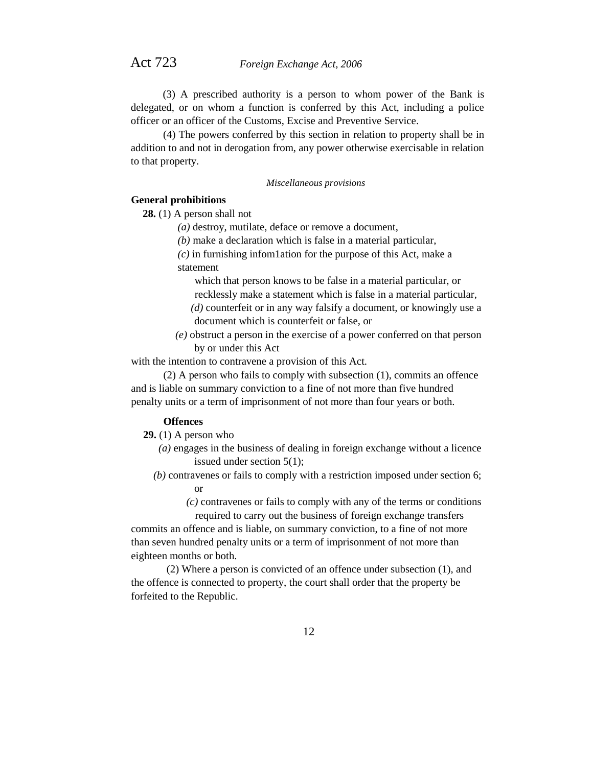(3) A prescribed authority is a person to whom power of the Bank is delegated, or on whom a function is conferred by this Act, including a police officer or an officer of the Customs, Excise and Preventive Service.

(4) The powers conferred by this section in relation to property shall be in addition to and not in derogation from, any power otherwise exercisable in relation to that property.

*Miscellaneous provisions*

## **General prohibitions**

**28.** (1) A person shall not

- *(a)* destroy, mutilate, deface or remove a document,
- *(b)* make a declaration which is false in a material particular,
- *(c)* in furnishing infom1ation for the purpose of this Act, make a statement

which that person knows to be false in a material particular, or recklessly make a statement which is false in a material particular,

- *(d)* counterfeit or in any way falsify a document, or knowingly use a document which is counterfeit or false, or
- *(e)* obstruct a person in the exercise of a power conferred on that person by or under this Act

with the intention to contravene a provision of this Act.

(2) A person who fails to comply with subsection (1), commits an offence and is liable on summary conviction to a fine of not more than five hundred penalty units or a term of imprisonment of not more than four years or both.

# **Offences**

**29.** (1) A person who

- *(a)* engages in the business of dealing in foreign exchange without a licence issued under section 5(1);
- *(b)* contravenes or fails to comply with a restriction imposed under section 6; or
	- *(c)* contravenes or fails to comply with any of the terms or conditions required to carry out the business of foreign exchange transfers

commits an offence and is liable, on summary conviction, to a fine of not more than seven hundred penalty units or a term of imprisonment of not more than eighteen months or both.

(2) Where a person is convicted of an offence under subsection (1), and the offence is connected to property, the court shall order that the property be forfeited to the Republic.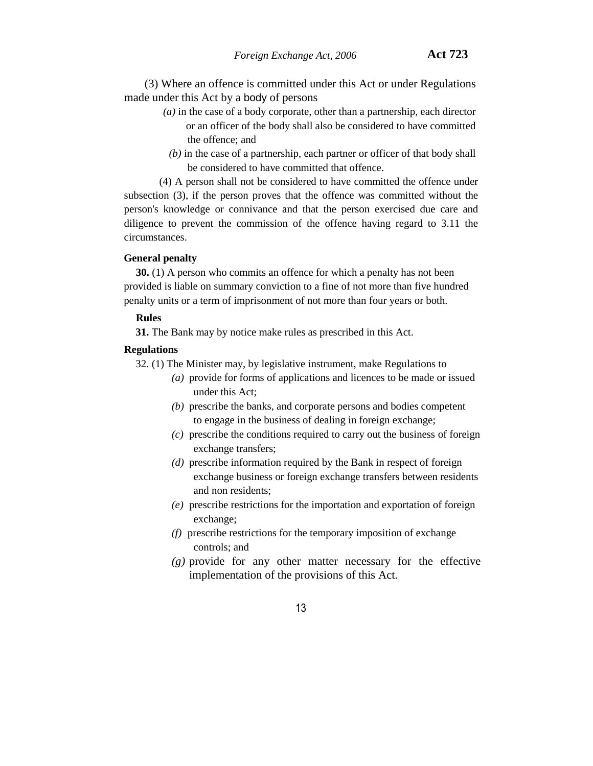(3) Where an offence is committed under this Act or under Regulations made under this Act by a body of persons

- *(a)* in the case of a body corporate, other than a partnership, each director or an officer of the body shall also be considered to have committed the offence; and
	- *(b)* in the case of a partnership, each partner or officer of that body shall be considered to have committed that offence.

(4) A person shall not be considered to have committed the offence under subsection (3), if the person proves that the offence was committed without the person's knowledge or connivance and that the person exercised due care and diligence to prevent the commission of the offence having regard to 3.11 the circumstances.

#### **General penalty**

**30.** (1) A person who commits an offence for which a penalty has not been provided is liable on summary conviction to a fine of not more than five hundred penalty units or a term of imprisonment of not more than four years or both.

#### **Rules**

**31.** The Bank may by notice make rules as prescribed in this Act.

#### **Regulations**

32. (1) The Minister may, by legislative instrument, make Regulations to

- *(a)* provide for forms of applications and licences to be made or issued under this Act;
- *(b)* prescribe the banks, and corporate persons and bodies competent to engage in the business of dealing in foreign exchange;
- *(c)* prescribe the conditions required to carry out the business of foreign exchange transfers;
- *(d)* prescribe information required by the Bank in respect of foreign exchange business or foreign exchange transfers between residents and non residents;
- *(e)* prescribe restrictions for the importation and exportation of foreign exchange;
- *(f)* prescribe restrictions for the temporary imposition of exchange controls; and
- *(g)* provide for any other matter necessary for the effective implementation of the provisions of this Act.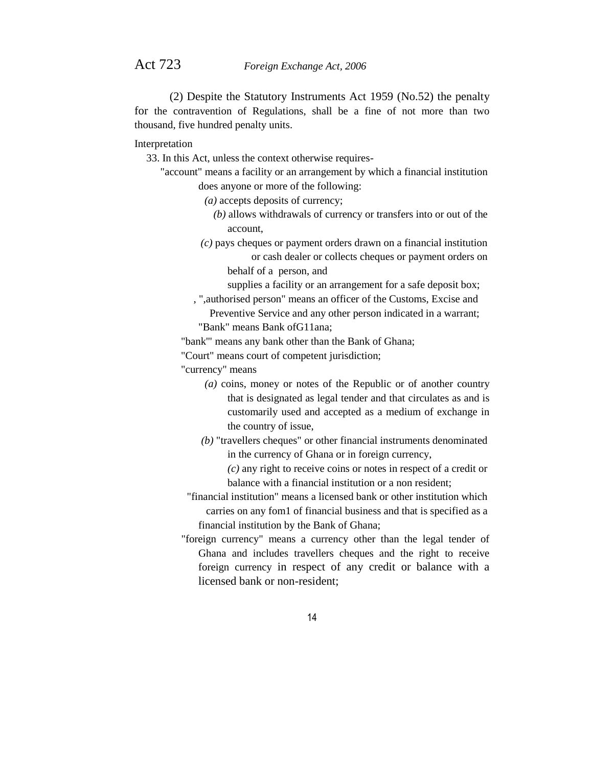(2) Despite the Statutory Instruments Act 1959 (No.52) the penalty for the contravention of Regulations, shall be a fine of not more than two thousand, five hundred penalty units.

Interpretation

33. In this Act, unless the context otherwise requires-

- "account" means a facility or an arrangement by which a financial institution does anyone or more of the following:
	- *(a)* accepts deposits of currency;
		- *(b)* allows withdrawals of currency or transfers into or out of the account,
	- *(c)* pays cheques or payment orders drawn on a financial institution or cash dealer or collects cheques or payment orders on behalf of a person, and

supplies a facility or an arrangement for a safe deposit box;

, ",authorised person" means an officer of the Customs, Excise and Preventive Service and any other person indicated in a warrant;

"Bank" means Bank ofG11ana;

"bank'" means any bank other than the Bank of Ghana;

"Court" means court of competent jurisdiction;

"currency" means

- *(a)* coins, money or notes of the Republic or of another country that is designated as legal tender and that circulates as and is customarily used and accepted as a medium of exchange in the country of issue,
- *(b)* "travellers cheques" or other financial instruments denominated in the currency of Ghana or in foreign currency,

*(c)* any right to receive coins or notes in respect of a credit or balance with a financial institution or a non resident;

- "financial institution" means a licensed bank or other institution which carries on any fom1 of financial business and that is specified as a financial institution by the Bank of Ghana;
- "foreign currency" means a currency other than the legal tender of Ghana and includes travellers cheques and the right to receive foreign currency in respect of any credit or balance with a licensed bank or non-resident;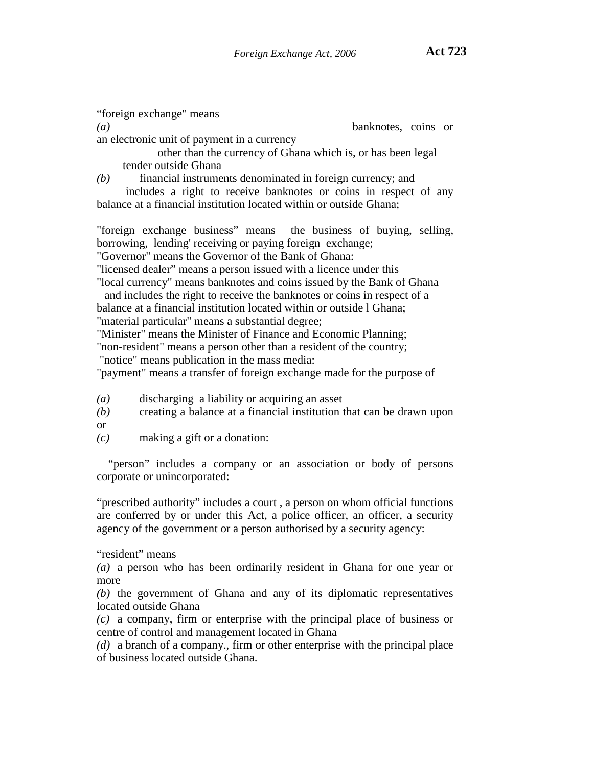"foreign exchange" means *(a)* banknotes, coins or an electronic unit of payment in a currency other than the currency of Ghana which is, or has been legal tender outside Ghana *(b)* financial instruments denominated in foreign currency; and includes a right to receive banknotes or coins in respect of any

balance at a financial institution located within or outside Ghana;

"foreign exchange business" means the business of buying, selling, borrowing, lending' receiving or paying foreign exchange;

"Governor" means the Governor of the Bank of Ghana:

"licensed dealer" means a person issued with a licence under this

"local currency" means banknotes and coins issued by the Bank of Ghana and includes the right to receive the banknotes or coins in respect of a balance at a financial institution located within or outside l Ghana; "material particular" means a substantial degree;

"Minister" means the Minister of Finance and Economic Planning;

"non-resident" means a person other than a resident of the country;

"notice" means publication in the mass media:

"payment" means a transfer of foreign exchange made for the purpose of

- *(a)* discharging a liability or acquiring an asset
- *(b)* creating a balance at a financial institution that can be drawn upon
- or

*(c)* making a gift or a donation:

"person" includes a company or an association or body of persons corporate or unincorporated:

"prescribed authority" includes a court , a person on whom official functions are conferred by or under this Act, a police officer, an officer, a security agency of the government or a person authorised by a security agency:

"resident" means

*(a)* a person who has been ordinarily resident in Ghana for one year or more

*(b)* the government of Ghana and any of its diplomatic representatives located outside Ghana

*(c)* a company, firm or enterprise with the principal place of business or centre of control and management located in Ghana

*(d)* a branch of a company., firm or other enterprise with the principal place of business located outside Ghana.